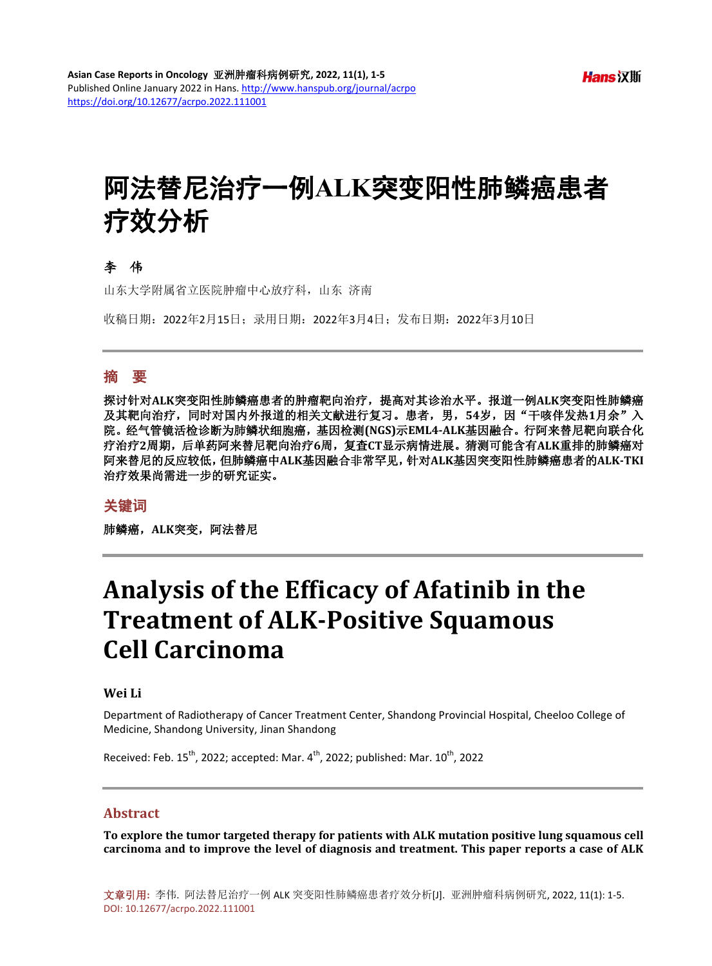# 阿法替尼治疗一例**ALK**突变阳性肺鳞癌患者 疗效分析

#### 李伟

山东大学附属省立医院肿瘤中心放疗科,山东 济南

收稿日期:2022年2月15日;录用日期:2022年3月4日;发布日期:2022年3月10日

#### 摘 要

探讨针对**ALK**突变阳性肺鳞癌患者的肿瘤靶向治疗,提高对其诊治水平。报道一例**ALK**突变阳性肺鳞癌 及其靶向治疗,同时对国内外报道的相关文献进行复习。患者,男,54岁,因"干咳伴发热1月余"入 院。经气管镜活检诊断为肺鳞状细胞癌,基因检测**(NGS)**示**EML4-ALK**基因融合。行阿来替尼靶向联合化 疗治疗**2**周期,后单药阿来替尼靶向治疗**6**周,复查**CT**显示病情进展。猜测可能含有**ALK**重排的肺鳞癌对 阿来替尼的反应较低,但肺鳞癌中**ALK**基因融合非常罕见,针对**ALK**基因突变阳性肺鳞癌患者的**ALK-TKI** 治疗效果尚需进一步的研究证实。

#### 关键词

肺鳞癌,**ALK**突变,阿法替尼

# **Analysis of the Efficacy of Afatinib in the Treatment of ALK-Positive Squamous Cell Carcinoma**

#### **Wei Li**

Department of Radiotherapy of Cancer Treatment Center, Shandong Provincial Hospital, Cheeloo College of Medicine, Shandong University, Jinan Shandong

Received: Feb.  $15^{th}$ , 2022; accepted: Mar. 4 $^{th}$ , 2022; published: Mar.  $10^{th}$ , 2022

#### **Abstract**

**To explore the tumor targeted therapy for patients with ALK mutation positive lung squamous cell carcinoma and to improve the level of diagnosis and treatment. This paper reports a case of ALK**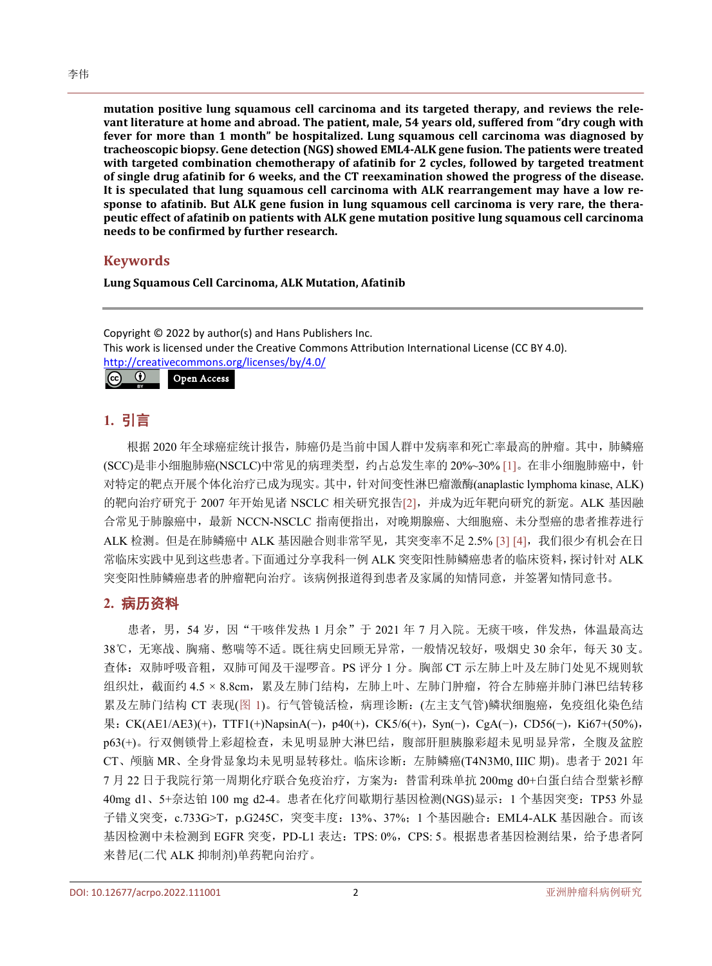**mutation positive lung squamous cell carcinoma and its targeted therapy, and reviews the relevant literature at home and abroad. The patient, male, 54 years old, suffered from "dry cough with fever for more than 1 month" be hospitalized. Lung squamous cell carcinoma was diagnosed by tracheoscopic biopsy. Gene detection (NGS) showed EML4-ALK gene fusion. The patients were treated with targeted combination chemotherapy of afatinib for 2 cycles, followed by targeted treatment of single drug afatinib for 6 weeks, and the CT reexamination showed the progress of the disease. It is speculated that lung squamous cell carcinoma with ALK rearrangement may have a low response to afatinib. But ALK gene fusion in lung squamous cell carcinoma is very rare, the therapeutic effect of afatinib on patients with ALK gene mutation positive lung squamous cell carcinoma needs to be confirmed by further research.**

### **Keywords**

**Lung Squamous Cell Carcinoma, ALK Mutation, Afatinib**

Copyright © 2022 by author(s) and Hans Publishers Inc. This work is licensed under the Creative Commons Attribution International License (CC BY 4.0). <http://creativecommons.org/licenses/by/4.0/>  $\boxed{6}$ Open Access

# **1.** 引言

根据 2020 年全球癌症统计报告,肺癌仍是当前中国人群中发病率和死亡率最高的肿瘤。其中,肺鳞癌 (SCC)是非小细胞肺癌(NSCLC)中常见的病理类型,约占总发生率的 20%~30% [\[1\]](#page-3-0)。在非小细胞肺癌中,针 对特定的靶点开展个体化治疗已成为现实。其中,针对间变性淋巴瘤激酶(anaplastic lymphoma kinase, ALK) 的靶向治疗研究于 2007 年开始见诸 NSCLC 相关研究报告[\[2\]](#page-3-1),并成为近年靶向研究的新宠。ALK 基因融 合常见于肺腺癌中,最新 NCCN-NSCLC 指南便指出,对晚期腺癌、大细胞癌、未分型癌的患者推荐进行 ALK 检测。但是在肺鳞癌中 ALK 基因融合则非常罕见, 其突变率不足 2.5% [\[3\]](#page-3-2) [\[4\]](#page-3-3), 我们很少有机会在日 常临床实践中见到这些患者。下面通过分享我科一例 ALK 突变阳性肺鳞癌患者的临床资料,探讨针对 ALK 突变阳性肺鳞癌患者的肿瘤靶向治疗。该病例报道得到患者及家属的知情同意,并签署知情同意书。

# **2.** 病历资料

患者,男,54岁,因"干咳伴发热 1 月余"于 2021 年 7 月入院。无痰干咳,伴发热,体温最高达 38℃,无寒战、胸痛、憋喘等不适。既往病史回顾无异常,一般情况较好,吸烟史 30 余年,每天 30 支。 查体:双肺呼吸音粗,双肺可闻及干湿啰音。PS 评分 1 分。胸部 CT 示左肺上叶及左肺门处见不规则软 组织灶,截面约 4.5 × 8.8cm,累及左肺门结构,左肺上叶、左肺门肿瘤,符合左肺癌并肺门淋巴结转移 累及左肺门结构 CT 表现([图](#page-2-0) 1)。行气管镜活检,病理诊断: (左主支气管)鳞状细胞癌,免疫组化染色结 果:CK(AE1/AE3)(+),TTF1(+)NapsinA(−),p40(+),CK5/6(+),Syn(−),CgA(−),CD56(−),Ki67+(50%), p63(+)。行双侧锁骨上彩超检查,未见明显肿大淋巴结,腹部肝胆胰腺彩超未见明显异常,全腹及盆腔 CT、颅脑 MR、全身骨显象均未见明显转移灶。临床诊断:左肺鳞癌(T4N3M0, IIIC 期)。患者于 2021 年 7 月 22 日于我院行第一周期化疗联合免疫治疗,方案为:替雷利珠单抗 200mg d0+白蛋白结合型紫衫醇 40mg d1、5+奈达铂 100 mg d2-4。患者在化疗间歇期行基因检测(NGS)显示:1 个基因突变:TP53 外显 子错义突变, c.733G>T, p.G245C, 突变丰度: 13%、37%; 1 个基因融合: EML4-ALK 基因融合。而该 基因检测中未检测到 EGFR 突变, PD-L1 表达: TPS: 0%, CPS: 5。根据患者基因检测结果, 给予患者阿 来替尼(二代 ALK 抑制剂)单药靶向治疗。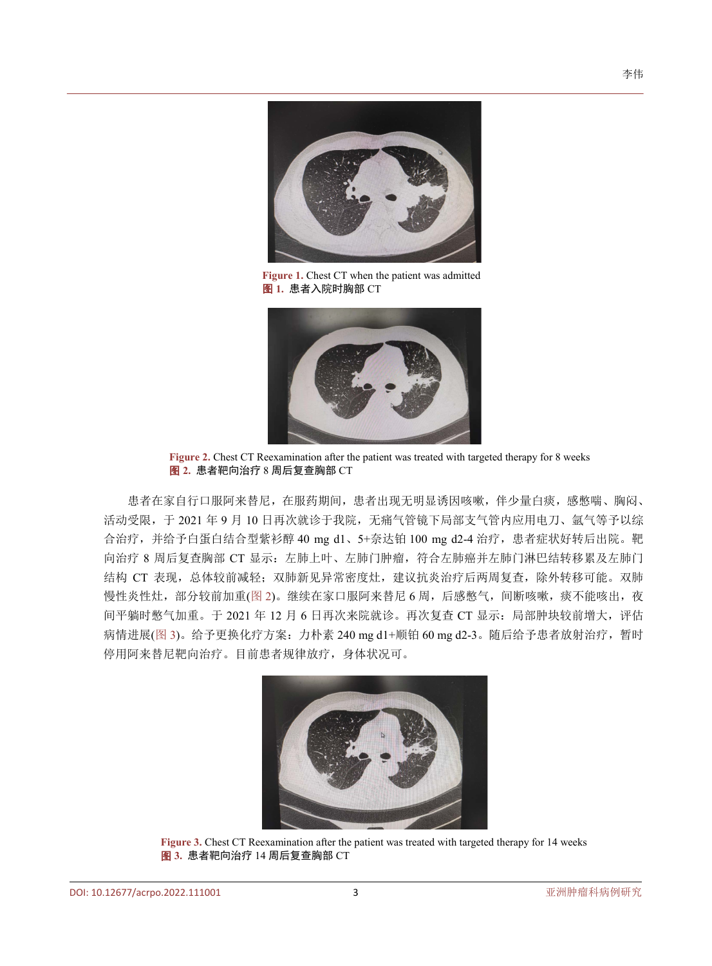<span id="page-2-0"></span>

**Figure 1.** Chest CT when the patient was admitted 图 **1.** 患者入院时胸部 CT



<span id="page-2-1"></span>**Figure 2.** Chest CT Reexamination after the patient was treated with targeted therapy for 8 weeks 图 **2.** 患者靶向治疗 8 周后复查胸部 CT

患者在家自行口服阿来替尼,在服药期间,患者出现无明显诱因咳嗽,伴少量白痰,感憋喘、胸闷、 活动受限,于 2021 年 9 月 10 日再次就诊于我院,无痛气管镜下局部支气管内应用电刀、氩气等予以综 合治疗, 并给予白蛋白结合型紫衫醇 40 mg d1、5+奈达铂 100 mg d2-4 治疗, 患者症状好转后出院。靶 向治疗 8 周后复查胸部 CT 显示:左肺上叶、左肺门肿瘤,符合左肺癌并左肺门淋巴结转移累及左肺门 结构 CT 表现, 总体较前减轻; 双肺新见异常密度灶, 建议抗炎治疗后两周复查, 除外转移可能。双肺 慢性炎性灶,部分较前加重([图](#page-2-1) 2)。继续在家口服阿来替尼 6 周,后感憋气, 间断咳嗽, 痰不能咳出, 夜 间平躺时憋气加重。于 2021 年 12 月 6 日再次来院就诊。再次复查 CT 显示: 局部肿块较前增大, 评估 病情进展([图](#page-2-2) 3)。给予更换化疗方案: 力朴素 240 mg d1+顺铂 60 mg d2-3。随后给予患者放射治疗,暂时 停用阿来替尼靶向治疗。目前患者规律放疗,身体状况可。

<span id="page-2-2"></span>

**Figure 3.** Chest CT Reexamination after the patient was treated with targeted therapy for 14 weeks 图 **3.** 患者靶向治疗 14 周后复查胸部 CT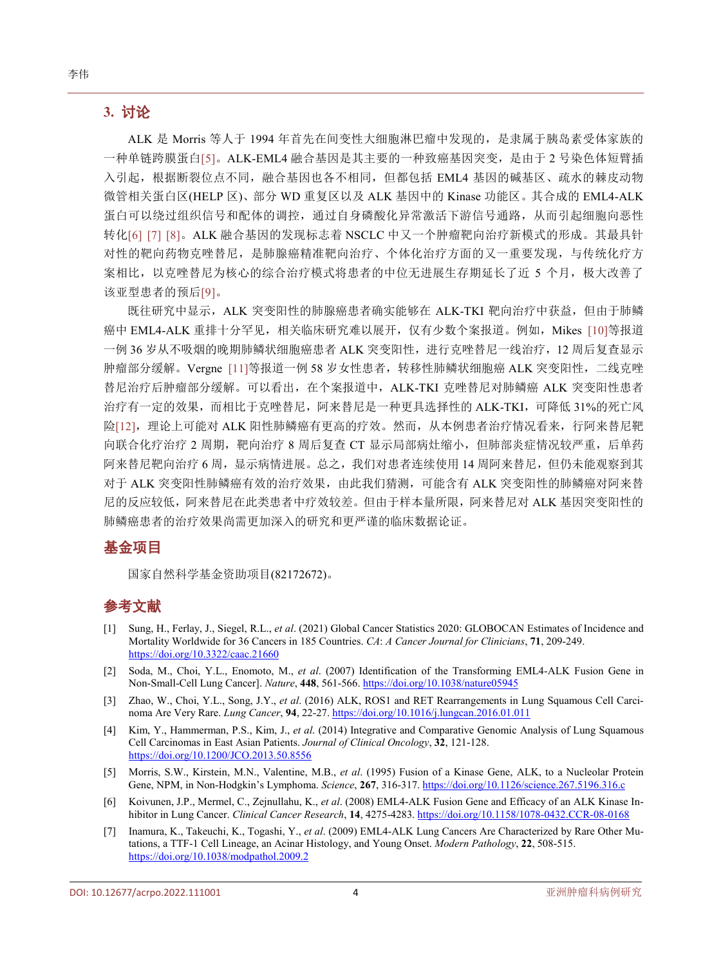#### **3.** 讨论

ALK 是 Morris 等人于 1994 年首先在间变性大细胞淋巴瘤中发现的,是隶属于胰岛素受体家族的 一种单链跨膜蛋白[\[5\]](#page-3-4)。ALK-EML4 融合基因是其主要的一种致癌基因突变,是由于 2 号染色体短臂插 入引起,根据断裂位点不同,融合基因也各不相同,但都包括 EML4 基因的碱基区、疏水的棘皮动物 微管相关蛋白区(HELP 区)、部分 WD 重复区以及 ALK 基因中的 Kinase 功能区。其合成的 EML4-ALK 蛋白可以绕过组织信号和配体的调控,通过自身磷酸化异常激活下游信号通路,从而引起细胞向恶性 转化[\[6\]](#page-3-5) [\[7\]](#page-3-6) [\[8\]](#page-4-0)。ALK 融合基因的发现标志着 NSCLC 中又一个肿瘤靶向治疗新模式的形成。其最具针 对性的靶向药物克唑替尼,是肺腺癌精准靶向治疗、个体化治疗方面的又一重要发现,与传统化疗方 案相比,以克唑替尼为核心的综合治疗模式将患者的中位无进展生存期延长了近 5 个月,极大改善了 该亚型患者的预后[\[9\]](#page-4-1)。

既往研究中显示, ALK 突变阳性的肺腺癌患者确实能够在 ALK-TKI 靶向治疗中获益, 但由于肺鳞 癌中 EML4-ALK 重排十分罕见,相关临床研究难以展开,仅有少数个案报道。例如, Mikes [\[10\]](#page-4-2)等报道 一例 36 岁从不吸烟的晚期肺鳞状细胞癌患者 ALK 突变阳性,进行克唑替尼一线治疗,12 周后复查显示 肿瘤部分缓解。Vergne [\[11\]](#page-4-3)等报道一例 58 岁女性患者,转移性肺鳞状细胞癌 ALK 突变阳性, 二线克唑 替尼治疗后肿瘤部分缓解。可以看出,在个案报道中,ALK-TKI 克唑替尼对肺鳞癌 ALK 突变阳性患者 治疗有一定的效果,而相比于克唑替尼,阿来替尼是一种更具选择性的 ALK-TKI,可降低 31%的死亡风 险[\[12\]](#page-4-4),理论上可能对 ALK 阳性肺鳞癌有更高的疗效。然而,从本例患者治疗情况看来,行阿来替尼靶 向联合化疗治疗 2 周期, 靶向治疗 8 周后复查 CT 显示局部病灶缩小, 但肺部炎症情况较严重, 后单药 阿来替尼靶向治疗 6 周, 显示病情进展。总之, 我们对患者连续使用 14 周阿来替尼, 但仍未能观察到其 对于 ALK 突变阳性肺鳞癌有效的治疗效果,由此我们猜测,可能含有 ALK 突变阳性的肺鳞癌对阿来替 尼的反应较低,阿来替尼在此类患者中疗效较差。但由于样本量所限,阿来替尼对 ALK 基因突变阳性的 肺鳞癌患者的治疗效果尚需更加深入的研究和更严谨的临床数据论证。

#### 基金项目

国家自然科学基金资助项目(82172672)。

### 参考文献

- <span id="page-3-0"></span>[1] Sung, H., Ferlay, J., Siegel, R.L., *et al*. (2021) Global Cancer Statistics 2020: GLOBOCAN Estimates of Incidence and Mortality Worldwide for 36 Cancers in 185 Countries. *CA*: *A Cancer Journal for Clinicians*, **71**, 209-249. <https://doi.org/10.3322/caac.21660>
- <span id="page-3-1"></span>[2] Soda, M., Choi, Y.L., Enomoto, M., *et al*. (2007) Identification of the Transforming EML4-ALK Fusion Gene in Non-Small-Cell Lung Cancer]. *Nature*, **448**, 561-566. <https://doi.org/10.1038/nature05945>
- <span id="page-3-2"></span>[3] Zhao, W., Choi, Y.L., Song, J.Y., *et al*. (2016) ALK, ROS1 and RET Rearrangements in Lung Squamous Cell Carcinoma Are Very Rare. *Lung Cancer*, **94**, 22-27. <https://doi.org/10.1016/j.lungcan.2016.01.011>
- <span id="page-3-3"></span>[4] Kim, Y., Hammerman, P.S., Kim, J., *et al*. (2014) Integrative and Comparative Genomic Analysis of Lung Squamous Cell Carcinomas in East Asian Patients. *Journal of Clinical Oncology*, **32**, 121-128. <https://doi.org/10.1200/JCO.2013.50.8556>
- <span id="page-3-4"></span>[5] Morris, S.W., Kirstein, M.N., Valentine, M.B., *et al*. (1995) Fusion of a Kinase Gene, ALK, to a Nucleolar Protein Gene, NPM, in Non-Hodgkin's Lymphoma. *Science*, **267**, 316-317. <https://doi.org/10.1126/science.267.5196.316.c>
- <span id="page-3-5"></span>[6] Koivunen, J.P., Mermel, C., Zejnullahu, K., *et al*. (2008) EML4-ALK Fusion Gene and Efficacy of an ALK Kinase Inhibitor in Lung Cancer. *Clinical Cancer Research*, **14**, 4275-4283. <https://doi.org/10.1158/1078-0432.CCR-08-0168>
- <span id="page-3-6"></span>[7] Inamura, K., Takeuchi, K., Togashi, Y., *et al*. (2009) EML4-ALK Lung Cancers Are Characterized by Rare Other Mutations, a TTF-1 Cell Lineage, an Acinar Histology, and Young Onset. *Modern Pathology*, **22**, 508-515. <https://doi.org/10.1038/modpathol.2009.2>